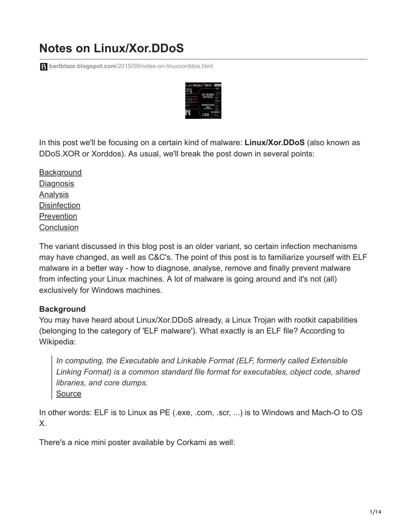# **Notes on Linux/Xor.DDoS**

**bartblaze.blogspot.com**[/2015/09/notes-on-linuxxorddos.html](https://bartblaze.blogspot.com/2015/09/notes-on-linuxxorddos.html)



In this post we'll be focusing on a certain kind of malware: **Linux/Xor.DDoS** (also known as DDoS.XOR or Xorddos). As usual, we'll break the post down in several points:

**[Background](http://bartblaze.blogspot.com/2015/09/notes-on-linuxxorddos.html#Background) [Diagnosis](http://bartblaze.blogspot.com/2015/09/notes-on-linuxxorddos.html#Diagnosis) [Analysis](http://bartblaze.blogspot.com/2015/09/notes-on-linuxxorddos.html#Analysis) [Disinfection](http://bartblaze.blogspot.com/2015/09/notes-on-linuxxorddos.html#Disinfection)** [Prevention](http://bartblaze.blogspot.com/2015/09/notes-on-linuxxorddos.html#Prevention) **[Conclusion](http://bartblaze.blogspot.com/2015/09/notes-on-linuxxorddos.html#Conclusion)** 

The variant discussed in this blog post is an older variant, so certain infection mechanisms may have changed, as well as C&C's. The point of this post is to familiarize yourself with ELF malware in a better way - how to diagnose, analyse, remove and finally prevent malware from infecting your Linux machines. A lot of malware is going around and it's not (all) exclusively for Windows machines.

## **Background**

You may have heard about Linux/Xor.DDoS already, a Linux Trojan with rootkit capabilities (belonging to the category of 'ELF malware'). What exactly is an ELF file? According to Wikipedia:

*In computing, the Executable and Linkable Format (ELF, formerly called Extensible Linking Format) is a common standard file format for executables, object code, shared libraries, and core dumps.* [Source](https://en.wikipedia.org/wiki/Executable_and_Linkable_Format)

In other words: ELF is to Linux as PE (.exe, .com, .scr, ...) is to Windows and Mach-O to OS X.

There's a nice mini poster available by Corkami as well: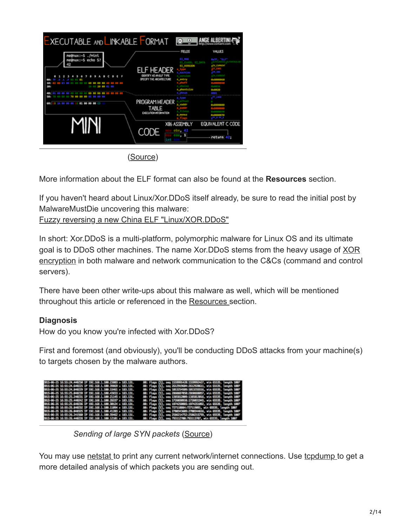| <b>FIELDS</b><br><b>VALUES</b><br>minl. ≵∽:xun@<br><b>ET RAG</b><br>me@nux:∼\$ echo \$?<br><b>SECOND</b><br><b>FT VERS100</b><br>SPECIFY THE ARCHITECTURE<br>20:<br>PROGRAM HEADER<br>01 00 00 00<br>3.8 040 060 060<br><b>TABLE</b><br>EXECUTION INFORMATION<br>EQUIVALENT C CODE<br>X86 ASSEMBLY<br>CODE<br>return<br>421 | <b>EXECUTABLE AND LINKABLE FORMAT</b> |     | (c) |  |
|-----------------------------------------------------------------------------------------------------------------------------------------------------------------------------------------------------------------------------------------------------------------------------------------------------------------------------|---------------------------------------|-----|-----|--|
|                                                                                                                                                                                                                                                                                                                             |                                       |     |     |  |
|                                                                                                                                                                                                                                                                                                                             |                                       |     |     |  |
|                                                                                                                                                                                                                                                                                                                             |                                       | int |     |  |

([Source](https://imgur.com/a/5PdMA#2))

More information about the ELF format can also be found at the **Resources** section.

If you haven't heard about Linux/Xor.DDoS itself already, be sure to read the initial post by MalwareMustDie uncovering this malware:

[Fuzzy reversing a new China ELF "Linux/XOR.DDoS"](http://blog.malwaremustdie.org/2014/09/mmd-0028-2014-fuzzy-reversing-new-china.html)

In short: Xor.DDoS is a multi-platform, polymorphic malware for Linux OS and its ultimate [goal is to DDoS other machines. The name Xor.DDoS stems from the heavy usage of XOR](https://en.wikipedia.org/wiki/XOR_cipher) encryption in both malware and network communication to the C&Cs (command and control servers).

There have been other write-ups about this malware as well, which will be mentioned throughout this article or referenced in the [Resources](http://bartblaze.blogspot.com/2015/09/notes-on-linuxxorddos.html#Resources) section.

#### **Diagnosis**

How do you know you're infected with Xor.DDoS?

First and foremost (and obviously), you'll be conducting DDoS attacks from your machine(s) to targets chosen by the malware authors.

| 2015-06-25 16:55:24.440250 1P 192.168.1.100.23003 > 183.131. | 80: Flags [3], seq 1559998420:1559992427, win 65535, length 1007 |
|--------------------------------------------------------------|------------------------------------------------------------------|
| 2015-06-25 16:55:24.640225 IP 192.168.1.100.39869 > 183.131. | 80: Flags (S), seg 2612909684:2612928611, win 65535, length 1887 |
| 2015-06-25 16:55:24.840229 1P 192.168.1.100.15461 > 183.131. | 潮: Flags [5], seq 1013254509:1013255516, win 65535, length 1007  |
| BOLS=86=25 16:55:25,040230 1P 192.168.1.100,43653 > 183.131. | 30: Flogs [5], seq 2860887050:2860888057, win 65535, length 1007 |
| BOLS-86-25 16:55:25.240231 IP 192.168.1.100.21145 > 183.131. | 88: Flags [5], seq 1385812009:1385813016, win 65535, length 1007 |
| 2015-06-25 16:55:25.440242 IP 192.168.1.100.26337 > 183.131. | 80: Flags [5], seg 1726030938:1726001945, win 65535, bength 1007 |
| 2015-06-25 16:55:25.640236 1P 192.168.1.100.30124 > 183.131. | 80: Flags [5], seq 1974250085:1974251092, win 65535, Length 1007 |
| 2015-06-25 16:55:25.840232 IP 192.168.1.100.11094 > 183.131. | 80: Flags [5], seq 727118084:727119091, win 65535, length 1007   |
| 2015-06-25 16:55:26.040325 1P 192.168.1.100.41203 > 183.131. | .80: Flags [5], seq 2700343609:270034616, win 65535, length 1007 |
| 2015-06-25 16:55:26.241560 1P 192.168.1.100.39462 > 183.131. | 80: Flags [5], seq 2586214752:2586215759, win 65535, length 1007 |
| 2015-06-25 16:55:26.440228 IP 192.168.1.100.12101 > 183.131. | 80: Flags [5], seq 703112700:703113707, win 65535, length 1007   |

*Sending of large SYN packets* ([Source\)](http://security.radware.com/uploadedFiles/Resources_and_Content/Attack_Tools/ERT_Alert_Malware_Report.pdf)

You may use [netstat](http://linux.die.net/man/8/netstat) to print any current network/internet connections. Use [tcpdump t](http://linux.die.net/man/8/tcpdump)o get a more detailed analysis of which packets you are sending out.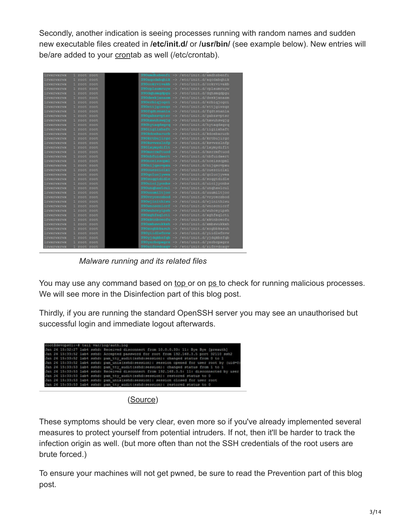Secondly, another indication is seeing processes running with random names and sudden new executable files created in **/etc/init.d/** or **/usr/bin/** (see example below). New entries will be/are added to your [cron](https://en.wikipedia.org/wiki/Cron)tab as well (/etc/crontab).

| <b>LTWXTWXTWX</b>        | 1 root root         | S90amdhzbenfi > /etc/init.d/amdhzbenfi                 |
|--------------------------|---------------------|--------------------------------------------------------|
| lrwxrwxrwx               | 1 root<br>root      | S90agodabghik -> /etc/init.d/agodabghik                |
| lrwxrwxrwx               | 1 root<br>root      | S90cokrwiwakb > /etc/init.d/cokrwiwakb                 |
| lrwxrwxrwx               | 1 root root         | <b>S90cplaumruve</b><br>muyw -> /etc/init.d/cplaumruyw |
| <b>LYWNTWKTWK</b>        | 1 root<br>root      | 590dahamadpau -> /etc/init.d/dqhamqdpau                |
| <b>I TWETWEIWE</b>       | <b>TOOL</b><br>root | S90dwskjanazm -> /etc/init.d/dwskjanazm                |
| <b><i>LEWKEWKEWK</i></b> | 1 root<br>root      | 590erbigjogai -> /etc/init.d/erbigjogai                |
| lrwxrwxrwx               | root root<br>ш      | S90ettigiwzgz -> /etc/init.d/ettigiwzgz                |
| <b>LYWXYWXYWX</b>        | 1 root root         | 590fgdtsmanla -> /etc/init.d/fgdtsmanla                |
| lrwxrwxrwx               | root<br>1 root      | S90gabzsvptsr > /etc/init.d/gabzsvptsr                 |
| lrwxrwxrwx               | 1 root root         | S90hxwuhswgjg -> /etc/init.d/hxwuhswgjg                |
| lrwxrwxrwx               | 1 root<br>root      | S90hytaqdagrq -> /etc/init.d/hytaqdagrq                |
| <b>LYWXYWXYWX</b>        | 1 root<br>root      | Diigiixhaft > /etc/init.d/iigiixhaft                   |
| lrwxrwxrwx               | 1 root<br>root      | S90kdoebarurb -> /etc/init.d/kdoebarurb                |
| lruxrwxrwx               | 1 root root         | S90krthujirgc -> /etc/init.d/krthujirgc                |
| lrwxrwxrwx               | 1 root<br>root      | S90kswwzzlnfp -> /etc/init.d/kswwzzlnfp                |
| <b>IFWXFWXFWX</b>        | 1 root<br>root      | S901xymydif1t -> /etc/init.d/lxymydif1t                |
| lrwxrwxrwx               | 1 root root         | S90msrrmftuod > /etc/init.d/nsrrmftuod                 |
| lrwxrwxrwx               | 1 root root         | S90mbfuidaert -> /etc/init.d/nbfuidaert                |
| lrwxrwxrwx               | 1 root root         | S90mceisscpml -> /etc/init.d/nceisscpml                |
| <b>LEWXEWXEWX</b>        | 1 root<br>root      | S90mijqmovpxu -> /etc/init.d/nijqsovpxu                |
| <b>LTWXTWXTWX</b>        | 1 root root         | 590ouezciclxl -> /etc/init.d/ouezciclxl                |
| <b>I TWXTWXTWX</b>       | 1 root<br>root      | clucjywea -> /etc/init.d/gclucjywea                    |
| <b>LYWXYWXYWX</b>        | 1 root root         | antdidle -> /etc/init.d/soggtdidle                     |
| <i><b>LYWXIWXIWX</b></i> | 1 root<br>root      | S90uicijycnbs > /etc/init.d/uicijycnbs                 |
| <b>LEWXEWXEWX</b>        | 1 root root         | 590unghawlcul -> /etc/init.d/unghawlcul                |
| <b>l rwxrwxrwx</b>       | 1 root root         | 590uuumiltjoo -> /etc/init.d/uuumiltjoo                |
| <b>LEWXEWXEWX</b>        | root root           | S90vryceczhod -> /etc/init.d/vryceczbod                |
| lrwxrwxrwx               | 1 root root         | S90wjinithiwu -> /etc/init.d/wjinithiwu                |
| lrwxrwxrwx               | TOOL<br>root        | S90wmoscmicrf -> /etc/init.d/wnoscmicrf                |
| <i><b>LYWNTWETWE</b></i> | 1 root<br>FOOT      | S90wuhceyipah -> /etc/init.d/wuhceyipsh                |
| lrwxrwxrwx               | 1 root<br>root      | S90xghfeglcti => /etc/init.d/xghfeglcti                |
| lrwxrwxrwx               | 1 root<br>root      | xktnbceofu -> /etc/init.d/xktnbceofu                   |
| lrwxrwxrwx               | 1 root root         | S90mmbmwukkah -> /etc/init.d/xmbswukkah                |
| <i><b>LYWXYWXYWX</b></i> | 1 root root         | S90xogbbkasuh -> /etc/init.d/xogbbkasuh                |
| lrwxrwxrwx               | 1 root root         | S90yiidlwfnww -> /etc/init.d/yiidlwfnvw                |
| <b>LYWXYWXYWX</b>        | 1 root root         | S90yjdgkbzfgb -> /etc/init.d/yjdgkbzfgb                |
| lrwxrwxrwx               | 1 root root         | S90yzrbcpxgrz -> /etc/init.d/yzrbcpxgrz                |
| <b>TEARLANEAN</b>        | 1 root root         | S90zifnvdoxqv -> /etc/init.d/zifnvdoxqv                |

*Malware running and its related files*

You may use any command based on [top o](http://linux.die.net/man/1/top)r on [ps](http://linux.die.net/man/1/ps) to check for running malicious processes. We will see more in the Disinfection part of this blog post.

Thirdly, if you are running the standard OpenSSH server you may see an unauthorised but successful login and immediate logout afterwards.

| root@devops01:-# tail var/log/auth.1og |                                                                                            |
|----------------------------------------|--------------------------------------------------------------------------------------------|
|                                        | Jan 26 15:32:27 lab4 sahd: Received disconnect from 10.0.0.33: 11: Bye Bye (preauth)       |
|                                        | Jan 26 15:33:52 lab4 sshd: Accepted password for root from 192.168.3.5 port 32110 ssh2     |
|                                        | Jan 26 15:33:52 lab4 sahd: pam tty audit(sshd:session): changed status from 0 to 1         |
|                                        | Jan 26 15:33:52 lab4 sahd: pam unix(sshd:session): session opened for user root by (uid=0) |
|                                        | Jan 26 15:33:53 lab4 sshd: pam tty audit(sshd:session): changed status from 1 to 1         |
|                                        | Jan 26 15:33:53 lab4 sshd: Received disconnect from 192.168.3.5: 11: disconnected by user  |
|                                        | Jan 26 15:33:53 lab4 sshd: pam tty audit(sshd:session): restored status to 0               |
|                                        | Jan 26 15:33:53 lab4 sahd: pam unix(sahd:session): session closed for user root            |
|                                        | Jan 26 15:33:53 lab4 sahd: pam tty audit(sshd:session): restored status to 0               |

([Source](https://www.fireeye.com/blog/threat-research/2015/02/anatomy_of_a_brutef.html))

These symptoms should be very clear, even more so if you've already implemented several measures to protect yourself from potential intruders. If not, then it'll be harder to track the infection origin as well. (but more often than not the SSH credentials of the root users are brute forced.)

To ensure your machines will not get pwned, be sure to read the Prevention part of this blog post.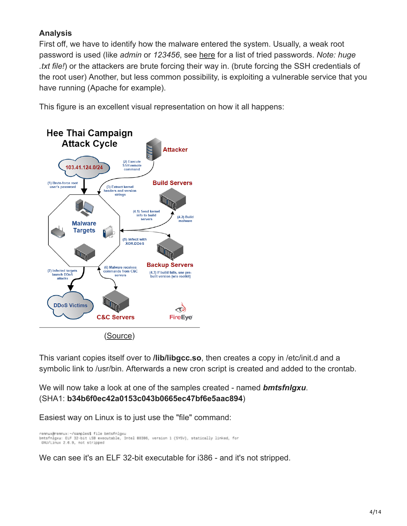# **Analysis**

First off, we have to identify how the malware entered the system. Usually, a weak root password is used (like *admin* or *123456*, see [here](http://blogs.cisco.com/wp-content/uploads/SSHPsycho_Passwords.txt) for a list of tried passwords. *Note: huge .txt file!*) or the attackers are brute forcing their way in. (brute forcing the SSH credentials of the root user) Another, but less common possibility, is exploiting a vulnerable service that you have running (Apache for example).

This figure is an excellent visual representation on how it all happens:



[\(Source\)](https://www.fireeye.com/blog/threat-research/2015/02/anatomy_of_a_brutef.html)

This variant copies itself over to **/lib/libgcc.so**, then creates a copy in /etc/init.d and a symbolic link to /usr/bin. Afterwards a new cron script is created and added to the crontab.

We will now take a look at one of the samples created - named *bmtsfnlgxu*. (SHA1: **b34b6f0ec42a0153c043b0665ec47bf6e5aac894**)

Easiest way on Linux is to just use the "file" command:

remnux@remnux:~/samples\$ file bmtsfnlgxu bmtsfnlgxu: ELF 32-bit LSB executable, Intel 80386, version 1 (SYSV), statically linked, for GNU/Linux 2.6.9, not stripped

We can see it's an ELF 32-bit executable for i386 - and it's not stripped.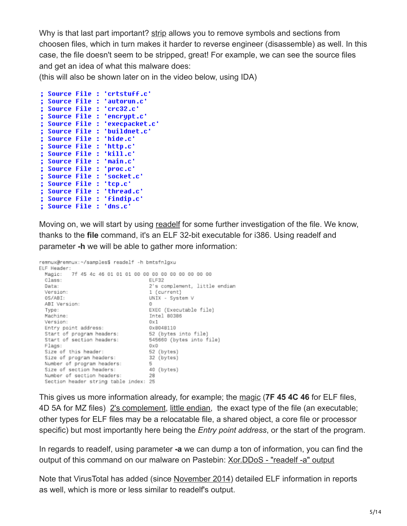Why is that last part important? [strip](http://linux.die.net/man/1/strip) allows you to remove symbols and sections from choosen files, which in turn makes it harder to reverse engineer (disassemble) as well. In this case, the file doesn't seem to be stripped, great! For example, we can see the source files and get an idea of what this malware does:

(this will also be shown later on in the video below, using IDA)

```
; Source File : 'crtstuff.c'
 Source File : 'autorun.c'
; Source File : 'crc32.c'
; Source File : 'encrypt.c'
; Source File : 'execpacket.c'
; Source File : 'buildnet.c'
; Source File : 'hide.c'
; Source File : 'http.c'
; Source File : 'kill.c'
; Source File : 'main.c'
; Source File : 'proc.c'
; Source File : 'socket.c'
; Source File : 'tcp.c'
; Source File : 'thread.c'
; Source File : 'findip.c'
; Source File : 'dns.c'
```
Moving on, we will start by using [readelf](http://linux.die.net/man/1/readelf) for some further investigation of the file. We know, thanks to the **file** command, it's an ELF 32-bit executable for i386. Using readelf and parameter **-h** we will be able to gather more information:

```
remnux@remnux:~/samples$ readelf -h bmtsfnlgxu
ELF Header:
           7f 45 4c 46 01 01 01 00 00 00 00 00 00 00 00 00
  Magic:
                                        ELF32
  Class:
                                        2's complement, little endian
  Data:
  Version:
                                        1 (current)
  OS/ABI:
                                        UNIX - System V
  ABI Version:
                                        \OmegaEXEC (Executable file)
  Type:
                                        Intel 80386
  Machine:
  Version:
                                       0 \times 10x8048110
  Entry point address:
  Start of program headers:
                                        52 (bytes into file)
                                      52 (bytes into file)<br>545660 (bytes into file)<br><sup>OvD</sup>
  Start of section headers:
  Flags:
                                       0 \times 0Size of this header:
                                        52 (bytes)
                                        32 (bytes)
  Size of program headers:
  Number of program headers:
                                        5
  Size of section headers:
                                        40 (bytes)
  Number of section headers:
                                        28
  Section header string table index: 25
```
This gives us more information already, for example; the [magic](https://en.wikipedia.org/wiki/List_of_file_signatures) (**7F 45 4C 46** for ELF files, 4D 5A for MZ files) [2's complement](https://en.wikipedia.org/wiki/Two%27s_complement), [little endian](https://en.wikipedia.org/wiki/Endianness), the exact type of the file (an executable; other types for ELF files may be a relocatable file, a shared object, a core file or processor specific) but most importantly here being the *Entry point address*, or the start of the program.

In regards to readelf, using parameter **-a** we can dump a ton of information, you can find the output of this command on our malware on Pastebin: Xor.DDoS - "readelf-a" output

Note that VirusTotal has added (since [November 2014\)](http://blog.virustotal.com/2014/11/virustotal-detailed-elf-information.html) detailed ELF information in reports as well, which is more or less similar to readelf's output.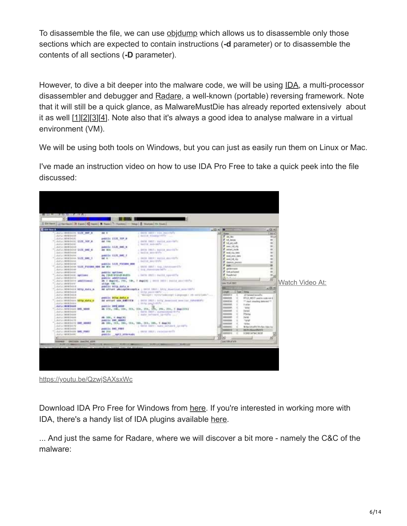To disassemble the file, we can use [objdump](http://linux.die.net/man/1/objdump) which allows us to disassemble only those sections which are expected to contain instructions (**-d** parameter) or to disassemble the contents of all sections (**-D** parameter).

However, to dive a bit deeper into the malware code, we will be using [IDA](https://www.hex-rays.com/products/ida/), a multi-processor disassembler and debugger and [Radare](http://www.radare.org/r/), a well-known (portable) reversing framework. Note that it will still be a quick glance, as MalwareMustDie has already reported extensively about it as well  $[1][2][3][4]$  $[1][2][3][4]$  $[1][2][3][4]$  $[1][2][3][4]$  $[1][2][3][4]$  $[1][2][3][4]$  $[1][2][3][4]$  $[1][2][3][4]$ . Note also that it's always a good idea to analyse malware in a virtual environment (VM).

We will be using both tools on Windows, but you can just as easily run them on Linux or Mac.

I've made an instruction video on how to use IDA Pro Free to take a quick peek into the file discussed:



<https://youtu.be/QzwjSAXsxWc>

Download IDA Pro Free for Windows from [here.](https://www.hex-rays.com/products/ida/support/download_freeware.shtml) If you're interested in working more with IDA, there's a handy list of IDA plugins available [here](https://github.com/onethawt/idaplugins-list).

... And just the same for Radare, where we will discover a bit more - namely the C&C of the malware: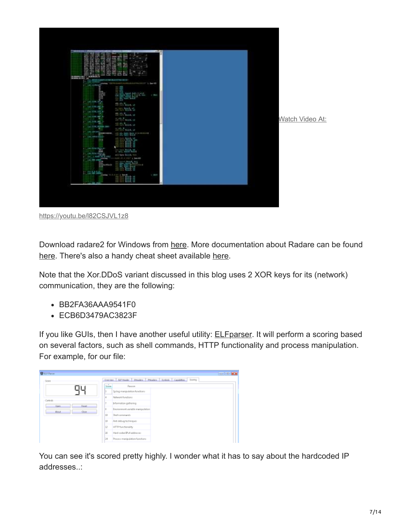

<https://youtu.be/l82CSJVL1z8>

Download radare2 for Windows from [here](http://www.radare.org/r/). More documentation about Radare can be found [here](https://github.com/pwntester/cheatsheets/blob/master/radare2.md). There's also a handy cheat sheet available here.

Note that the Xor.DDoS variant discussed in this blog uses 2 XOR keys for its (network) communication, they are the following:

- BB2FA36AAA9541F0
- ECB6D3479AC3823F

If you like GUIs, then I have another useful utility: **ELFparser**. It will perform a scoring based on several factors, such as shell commands, HTTP functionality and process manipulation. For example, for our file:

| <b>BEFRIGHT</b>                    |           | <b>Controlled Manager</b>                                        |
|------------------------------------|-----------|------------------------------------------------------------------|
| Sons.                              |           | Overview Editmode: Steaders Rhaders Synbols Capabilities Storing |
| ו וח                               | téne      | Resource                                                         |
|                                    | ×         | Syring manipulation functions                                    |
|                                    | x         | Network functions                                                |
| Caribale-<br><b>Bacat</b><br>Cown. |           | Information gathering                                            |
| About.<br>Onle                     | ×         | Environment variable manipulation                                |
|                                    | <b>SO</b> | Shall community                                                  |
|                                    | 33        | Avti debug techniques                                            |
|                                    | 12        | HFTP functionality                                               |
|                                    | 16        | Hard coded Polishöreren                                          |
|                                    | 34        | Process manipulation functions                                   |

You can see it's scored pretty highly. I wonder what it has to say about the hardcoded IP addresses..: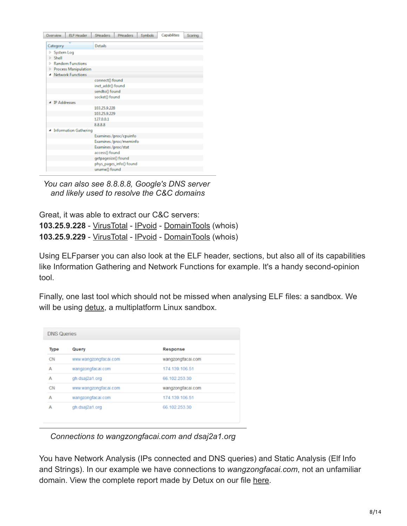| Overview            | <b>ELF</b> Header            | SHeaders            | <b>PHeaders</b>         | <b>Symbols</b> | Capabilities | Scoring |
|---------------------|------------------------------|---------------------|-------------------------|----------------|--------------|---------|
| Category            |                              | <b>Details</b>      |                         |                |              |         |
| System Log          |                              |                     |                         |                |              |         |
| Shell<br>D          |                              |                     |                         |                |              |         |
| ъ                   | <b>Random Functions</b>      |                     |                         |                |              |         |
| Þ                   | <b>Process Manipulation</b>  |                     |                         |                |              |         |
|                     | <b>Network Functions</b>     |                     |                         |                |              |         |
|                     |                              | connect() found     |                         |                |              |         |
|                     |                              | inet addr() found   |                         |                |              |         |
|                     |                              | sendto() found      |                         |                |              |         |
|                     |                              | socket() found      |                         |                |              |         |
| <b>IP Addresses</b> |                              |                     |                         |                |              |         |
|                     |                              | 103.25.9.228        |                         |                |              |         |
|                     |                              | 103.25.9.229        |                         |                |              |         |
|                     |                              | 127.0.0.1           |                         |                |              |         |
|                     |                              | 8.8.8.8             |                         |                |              |         |
|                     | <b>Information Gathering</b> |                     |                         |                |              |         |
|                     |                              |                     | Examines /proc/cpuinfo  |                |              |         |
|                     |                              |                     | Examines /proc/meminfo  |                |              |         |
|                     |                              | Examines /proc/stat |                         |                |              |         |
|                     |                              | access() found      |                         |                |              |         |
|                     |                              | getpagesize() found |                         |                |              |         |
|                     |                              |                     | phys_pages_info() found |                |              |         |
|                     |                              | uname() found       |                         |                |              |         |

*You can also see 8.8.8.8, Google's DNS server and likely used to resolve the C&C domains*

Great, it was able to extract our C&C servers: **103.25.9.228** - [VirusTotal](https://www.virustotal.com/en/ip-address/103.25.9.228/information/) - [IPvoid](http://www.ipvoid.com/scan/103.25.9.228/) - [DomainTools](http://whois.domaintools.com/103.25.9.228) (whois) **103.25.9.229** - [VirusTotal](https://www.virustotal.com/en/ip-address/103.25.9.229/information/) - [IPvoid](http://www.ipvoid.com/scan/103.25.9.229/) - [DomainTools](http://whois.domaintools.com/103.25.9.229) (whois)

Using ELFparser you can also look at the ELF header, sections, but also all of its capabilities like Information Gathering and Network Functions for example. It's a handy second-opinion tool.

Finally, one last tool which should not be missed when analysing ELF files: a sandbox. We will be using [detux](http://detux.org/index.php#), a multiplatform Linux sandbox.

| Type | Query                 | Response          |
|------|-----------------------|-------------------|
| CN   | www.wangzongfacai.com | wangzongfacai.com |
| А    | wangzongfacai.com     | 174.139.106.51    |
| А    | gh.dsaj2a1.org        | 66.102.253.30     |
| CN   | www.wangzongfacai.com | wangzongfacai.com |
| А    | wangzongfacai.com     | 174.139.106.51    |
| А    | gh.dsaj2a1.org        | 66.102.253.30     |

*Connections to wangzongfacai.com and dsaj2a1.org*

You have Network Analysis (IPs connected and DNS queries) and Static Analysis (Elf Info and Strings). In our example we have connections to *wangzongfacai.com*, not an unfamiliar domain. View the complete report made by Detux on our file [here.](http://detux.org/report.php?sha256=a7669ff64f18f3da019e8d257976ea5ff757ba433b4911206312164d0b4d4049)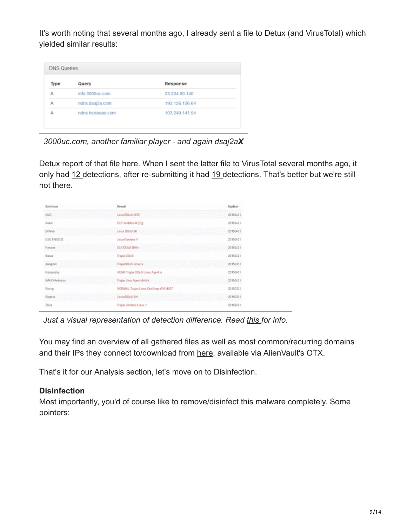It's worth noting that several months ago, I already sent a file to Detux (and VirusTotal) which yielded similar results:

| Type | Query             | Response       |
|------|-------------------|----------------|
| А    | info.3000uc.com   | 23.234.60.140  |
| А    | ndns.dsaj2a.com   | 192.126.126.64 |
| А    | ndns.hcxiaoao.com | 103.240.141.54 |

*3000uc.com, another familiar player - and again dsaj2aX*

Detux report of that file [here.](http://detux.org/report.php?sha256=117fbf3fcbc607a5034c1e4438b9253ad0f7ed897993e943ecb30be6f10879ba) When I sent the latter file to VirusTotal several months ago, it only had [12](https://www.virustotal.com/en/file/117fbf3fcbc607a5034c1e4438b9253ad0f7ed897993e943ecb30be6f10879ba/analysis/) detections, after re-submitting it had [19](https://www.virustotal.com/en/file/117fbf3fcbc607a5034c1e4438b9253ad0f7ed897993e943ecb30be6f10879ba/analysis/1443002860/) detections. That's better but we're still not there.

| Antivirus      | Result                                | Update   |
|----------------|---------------------------------------|----------|
| <b>AWG</b>     | Linux/DDsS.XOR                        | 20150401 |
| Avast          | ELF:Xarddos-M [Tr]                    | 20150401 |
| <b>D/Web</b>   | Linux DDsS.60                         | 20150401 |
| ESET-NOO32     | Linux/Xarddos F                       | 20150401 |
| Fotinet        | ELF/DDs5.0Htr                         | 20150401 |
| llearus        | Trejan DDoS                           | 20150401 |
| Jiangmin       | TrojanDDoS.Linux.k                    | 20150331 |
| Kaspersky      | HEUR: Trojan ODoS. Linux. Agent. a    | 20150401 |
| NANO-Artivirus | Trojan Unix Agent dristk              | 20150401 |
| Rising         | NORMAL:Trojan.Linux.DrisAmp.dt1614827 | 20150331 |
| Sophos         | Linux/DDsS-BH                         | 20150331 |
| Zilya          | Trojan Xorddos Linux, 1               | 20150401 |

*Just a visual representation of detection difference. Read [this](http://blog.virustotal.com/2012/08/av-comparative-analyses-marketing-and.html) for info.*

You may find an overview of all gathered files as well as most common/recurring domains and their IPs they connect to/download from [here](https://otx.alienvault.com/pulse/560559844637f21ecf297f9a/), available via AlienVault's OTX.

That's it for our Analysis section, let's move on to Disinfection.

## **Disinfection**

Most importantly, you'd of course like to remove/disinfect this malware completely. Some pointers: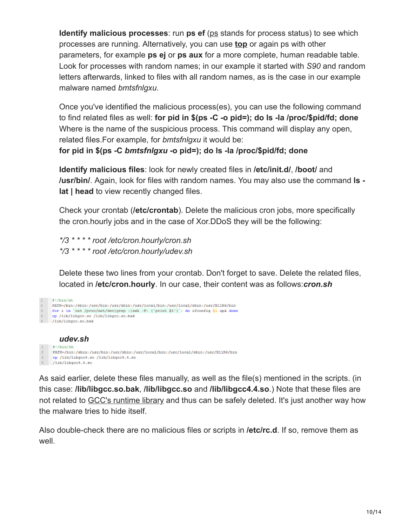**Identify malicious processes**: run **ps ef** ([ps](http://linux.die.net/man/1/ps) stands for process status) to see which processes are running. Alternatively, you can use **[top](http://linux.die.net/man/1/top)** or again ps with other parameters, for example **ps ej** or **ps aux** for a more complete, human readable table. Look for processes with random names; in our example it started with *S90* and random letters afterwards, linked to files with all random names, as is the case in our example malware named *bmtsfnlgxu*.

Once you've identified the malicious process(es), you can use the following command to find related files as well: **for pid in \$(ps -C -o pid=); do ls -la /proc/\$pid/fd; done** Where is the name of the suspicious process. This command will display any open, related files.For example, for *bmtsfnlgxu* it would be:

**for pid in \$(ps -C** *bmtsfnlgxu* **-o pid=); do ls -la /proc/\$pid/fd; done**

**Identify malicious files**: look for newly created files in **/etc/init.d/**, **/boot/** and **/usr/bin/**. Again, look for files with random names. You may also use the command **ls lat | head** to view recently changed files.

Check your crontab (**/etc/crontab**). Delete the malicious cron jobs, more specifically the cron.hourly jobs and in the case of Xor.DDoS they will be the following:

*\*/3 \* \* \* \* root /etc/cron.hourly/cron.sh \*/3 \* \* \* \* root /etc/cron.hourly/udev.sh*

Delete these two lines from your crontab. Don't forget to save. Delete the related files, located in **/etc/cron.hourly**. In our case, their content was as follows:*cron.sh*

```
1 t!/bin/ohPATH-/bin:/usr/bin:/usr/sbin:/usr/1ccal/bin:/usr/1ccal/sbin:/usr/X11R6/bin<br>
S for i in 'cat /proc/net/dev|grep :|awk -F: ('print $1')'; do ifconfig $1 up6 done
     op /lib/libgcc.so /lib/libgcc.so.bak
5 /lib/libgcc.so.bak
           udev.sh
       #!/bin/sh
       PATH=/bin:/sbin:/usr/bin:/usr/sbin:/usr/local/bin:/usr/local/sbin:/usr/X11R6/bin
```
cp /lib/libgcc4.so /lib/libgcc4.4.so  $1 / 1$ ib/libgcc1.1.so

As said earlier, delete these files manually, as well as the file(s) mentioned in the scripts. (in this case: **/lib/libgcc.so.bak**, **/lib/libgcc.so** and **/lib/libgcc4.4.so**.) Note that these files are not related to [GCC's runtime library](http://gcc.gnu.org/onlinedocs/gccint/Libgcc.html) and thus can be safely deleted. It's just another way how the malware tries to hide itself.

Also double-check there are no malicious files or scripts in **/etc/rc.d**. If so, remove them as well.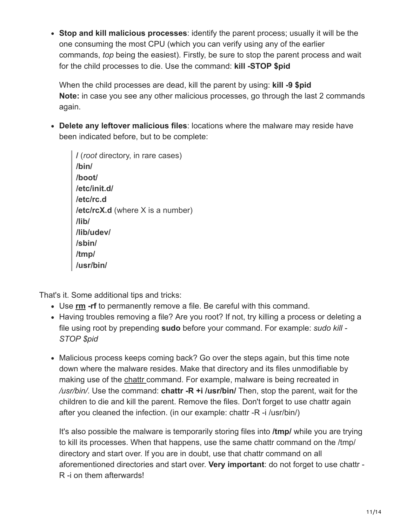**Stop and kill malicious processes**: identify the parent process; usually it will be the one consuming the most CPU (which you can verify using any of the earlier commands, *top* being the easiest). Firstly, be sure to stop the parent process and wait for the child processes to die. Use the command: **kill -STOP \$pid**

When the child processes are dead, kill the parent by using: **kill -9 \$pid Note:** in case you see any other malicious processes, go through the last 2 commands again.

**Delete any leftover malicious files**: locations where the malware may reside have been indicated before, but to be complete:

**/** (*root* directory, in rare cases) **/bin/ /boot/ /etc/init.d/ /etc/rc.d /etc/rcX.d** (where X is a number) **/lib/ /lib/udev/ /sbin/ /tmp/ /usr/bin/**

That's it. Some additional tips and tricks:

- Use **[rm](http://linux.die.net/man/1/rm) -rf** to permanently remove a file. Be careful with this command.
- Having troubles removing a file? Are you root? If not, try killing a process or deleting a file using root by prepending **sudo** before your command. For example: *sudo kill - STOP \$pid*
- Malicious process keeps coming back? Go over the steps again, but this time note down where the malware resides. Make that directory and its files unmodifiable by making use of the [chattr](http://linux.die.net/man/1/chattr) command. For example, malware is being recreated in */usr/bin/*. Use the command: **chattr -R +i /usr/bin/** Then, stop the parent, wait for the children to die and kill the parent. Remove the files. Don't forget to use chattr again after you cleaned the infection. (in our example: chattr -R -i /usr/bin/)

It's also possible the malware is temporarily storing files into **/tmp/** while you are trying to kill its processes. When that happens, use the same chattr command on the /tmp/ directory and start over. If you are in doubt, use that chattr command on all aforementioned directories and start over. **Very important**: do not forget to use chattr - R -i on them afterwards!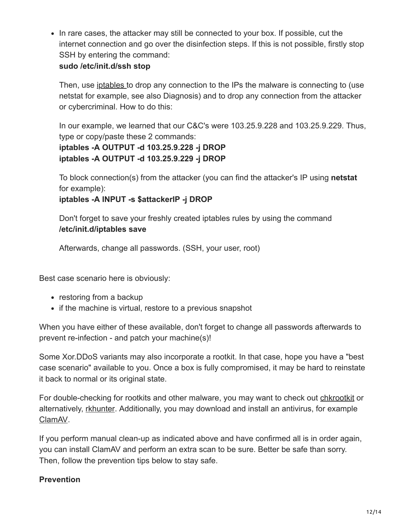• In rare cases, the attacker may still be connected to your box. If possible, cut the internet connection and go over the disinfection steps. If this is not possible, firstly stop SSH by entering the command:

#### **sudo /etc/init.d/ssh stop**

Then, use [iptables](http://linux.die.net/man/8/iptables) to drop any connection to the IPs the malware is connecting to (use netstat for example, see also Diagnosis) and to drop any connection from the attacker or cybercriminal. How to do this:

In our example, we learned that our C&C's were 103.25.9.228 and 103.25.9.229. Thus, type or copy/paste these 2 commands:

#### **iptables -A OUTPUT -d 103.25.9.228 -j DROP iptables -A OUTPUT -d 103.25.9.229 -j DROP**

To block connection(s) from the attacker (you can find the attacker's IP using **netstat** for example):

**iptables -A INPUT -s \$attackerIP -j DROP**

Don't forget to save your freshly created iptables rules by using the command **/etc/init.d/iptables save**

Afterwards, change all passwords. (SSH, your user, root)

Best case scenario here is obviously:

- restoring from a backup
- if the machine is virtual, restore to a previous snapshot

When you have either of these available, don't forget to change all passwords afterwards to prevent re-infection - and patch your machine(s)!

Some Xor.DDoS variants may also incorporate a rootkit. In that case, hope you have a "best case scenario" available to you. Once a box is fully compromised, it may be hard to reinstate it back to normal or its original state.

For double-checking for rootkits and other malware, you may want to check out [chkrootkit](http://www.chkrootkit.org/) or alternatively, [rkhunter](https://sourceforge.net/projects/rkhunter/). Additionally, you may download and install an antivirus, for example [ClamAV](http://www.clamav.net/index.html).

If you perform manual clean-up as indicated above and have confirmed all is in order again, you can install ClamAV and perform an extra scan to be sure. Better be safe than sorry. Then, follow the prevention tips below to stay safe.

#### **Prevention**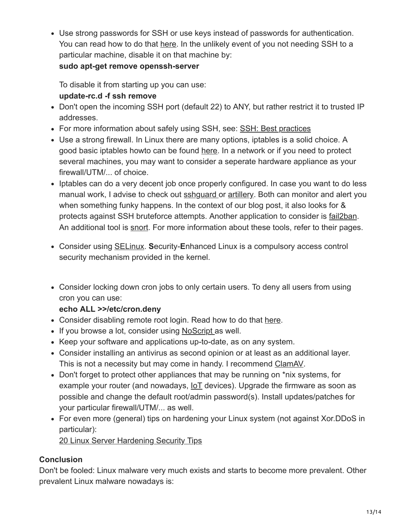Use strong passwords for SSH or use keys instead of passwords for authentication. You can read how to do that [here.](http://www.makeuseof.com/tag/how-to-authenticate-over-ssh-with-keys-instead-of-passwords/) In the unlikely event of you not needing SSH to a particular machine, disable it on that machine by:

#### **sudo apt-get remove openssh-server**

To disable it from starting up you can use: **update-rc.d -f ssh remove**

- Don't open the incoming SSH port (default 22) to ANY, but rather restrict it to trusted IP addresses.
- For more information about safely using SSH, see: [SSH: Best practices](https://blog.0xbadc0de.be/archives/300)
- Use a strong firewall. In Linux there are many options, iptables is a solid choice. A good basic iptables howto can be found [here](https://help.ubuntu.com/community/IptablesHowTo). In a network or if you need to protect several machines, you may want to consider a seperate hardware appliance as your firewall/UTM/... of choice.
- Iptables can do a very decent job once properly configured. In case you want to do less manual work, I advise to check out [sshguard](http://www.sshguard.net/) or [artillery.](https://github.com/trustedsec/artillery/) Both can monitor and alert you when something funky happens. In the context of our blog post, it also looks for & protects against SSH bruteforce attempts. Another application to consider is [fail2ban](https://github.com/fail2ban/fail2ban). An additional tool is [snort](https://www.snort.org/). For more information about these tools, refer to their pages.
- Consider using [SELinux](http://linux.die.net/man/8/selinux). **S**ecurity-**E**nhanced Linux is a compulsory access control security mechanism provided in the kernel.
- Consider locking down cron jobs to only certain users. To deny all users from using cron you can use:

# **echo ALL >>/etc/cron.deny**

- Consider disabling remote root login. Read how to do that [here](http://www.howtogeek.com/howto/linux/security-tip-disable-root-ssh-login-on-linux/).
- If you browse a lot, consider using [NoScript](https://noscript.net/) as well.
- Keep your software and applications up-to-date, as on any system.
- Consider installing an antivirus as second opinion or at least as an additional layer. This is not a necessity but may come in handy. I recommend [ClamAV.](http://www.clamav.net/index.html)
- Don't forget to protect other appliances that may be running on \*nix systems, for example your router (and nowadays,  $I \circ I$  devices). Upgrade the firmware as soon as possible and change the default root/admin password(s). Install updates/patches for your particular firewall/UTM/... as well.
- For even more (general) tips on hardening your Linux system (not against Xor.DDoS in particular):

[20 Linux Server Hardening Security Tips](http://www.cyberciti.biz/tips/linux-security.html)

# **Conclusion**

Don't be fooled: Linux malware very much exists and starts to become more prevalent. Other prevalent Linux malware nowadays is: